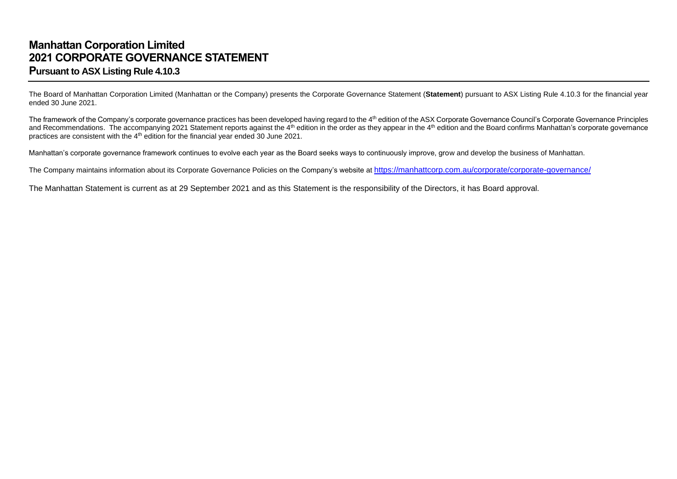## **Manhattan Corporation Limited 2021 CORPORATE GOVERNANCE STATEMENT Pursuant to ASX Listing Rule 4.10.3**

The Board of Manhattan Corporation Limited (Manhattan or the Company) presents the Corporate Governance Statement (**Statement**) pursuant to ASX Listing Rule 4.10.3 for the financial year ended 30 June 2021.

The framework of the Company's corporate governance practices has been developed having regard to the 4<sup>th</sup> edition of the ASX Corporate Governance Council's Corporate Governance Principles and Recommendations. The accompanying 2021 Statement reports against the 4<sup>th</sup> edition in the order as they appear in the 4<sup>th</sup> edition and the Board confirms Manhattan's corporate governance practices are consistent with the 4<sup>th</sup> edition for the financial year ended 30 June 2021.

Manhattan's corporate governance framework continues to evolve each year as the Board seeks ways to continuously improve, grow and develop the business of Manhattan.

The Company maintains information about its Corporate Governance Policies on the Company's website at <https://manhattcorp.com.au/corporate/corporate-governance/>

The Manhattan Statement is current as at 29 September 2021 and as this Statement is the responsibility of the Directors, it has Board approval.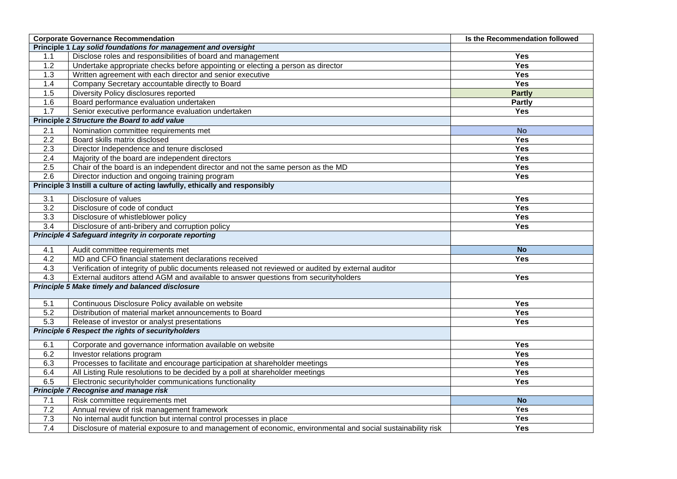|                  | <b>Corporate Governance Recommendation</b><br>Is the Recommendation followed                                |               |  |
|------------------|-------------------------------------------------------------------------------------------------------------|---------------|--|
|                  | Principle 1 Lay solid foundations for management and oversight                                              |               |  |
| 1.1              | Disclose roles and responsibilities of board and management                                                 | <b>Yes</b>    |  |
| 1.2              | Undertake appropriate checks before appointing or electing a person as director                             | Yes           |  |
| 1.3              | Written agreement with each director and senior executive                                                   | <b>Yes</b>    |  |
| 1.4              | Company Secretary accountable directly to Board                                                             | <b>Yes</b>    |  |
| 1.5              | Diversity Policy disclosures reported                                                                       | <b>Partly</b> |  |
| 1.6              | Board performance evaluation undertaken                                                                     | <b>Partly</b> |  |
| 1.7              | Senior executive performance evaluation undertaken                                                          | Yes           |  |
|                  | Principle 2 Structure the Board to add value                                                                |               |  |
| 2.1              | Nomination committee requirements met                                                                       | <b>No</b>     |  |
| $\overline{2.2}$ | Board skills matrix disclosed                                                                               | <b>Yes</b>    |  |
| 2.3              | Director Independence and tenure disclosed                                                                  | Yes           |  |
| 2.4              | Majority of the board are independent directors                                                             | <b>Yes</b>    |  |
| 2.5              | Chair of the board is an independent director and not the same person as the MD                             | Yes           |  |
| $\overline{2.6}$ | Director induction and ongoing training program                                                             | <b>Yes</b>    |  |
|                  | Principle 3 Instill a culture of acting lawfully, ethically and responsibly                                 |               |  |
| 3.1              | Disclosure of values                                                                                        | Yes           |  |
| $\overline{3.2}$ | Disclosure of code of conduct                                                                               | Yes           |  |
| 3.3              | Disclosure of whistleblower policy                                                                          | <b>Yes</b>    |  |
| $\overline{3.4}$ | Disclosure of anti-bribery and corruption policy                                                            | <b>Yes</b>    |  |
|                  | Principle 4 Safeguard integrity in corporate reporting                                                      |               |  |
| 4.1              | Audit committee requirements met                                                                            | <b>No</b>     |  |
| 4.2              | MD and CFO financial statement declarations received                                                        | <b>Yes</b>    |  |
| 4.3              | Verification of integrity of public documents released not reviewed or audited by external auditor          |               |  |
| 4.3              | External auditors attend AGM and available to answer questions from securityholders                         | <b>Yes</b>    |  |
|                  | Principle 5 Make timely and balanced disclosure                                                             |               |  |
| 5.1              | Continuous Disclosure Policy available on website                                                           | <b>Yes</b>    |  |
| $\overline{5.2}$ | Distribution of material market announcements to Board                                                      | <b>Yes</b>    |  |
| 5.3              | Release of investor or analyst presentations                                                                | <b>Yes</b>    |  |
|                  | Principle 6 Respect the rights of securityholders                                                           |               |  |
| 6.1              | Corporate and governance information available on website                                                   | Yes           |  |
| 6.2              | Investor relations program                                                                                  | Yes           |  |
| 6.3              | Processes to facilitate and encourage participation at shareholder meetings                                 | <b>Yes</b>    |  |
| 6.4              | All Listing Rule resolutions to be decided by a poll at shareholder meetings                                | <b>Yes</b>    |  |
| 6.5              | Electronic securityholder communications functionality                                                      | <b>Yes</b>    |  |
|                  | Principle 7 Recognise and manage risk                                                                       |               |  |
| 7.1              | Risk committee requirements met                                                                             | <b>No</b>     |  |
| 7.2              | Annual review of risk management framework                                                                  | <b>Yes</b>    |  |
| 7.3              | No internal audit function but internal control processes in place                                          | Yes           |  |
| 7.4              | Disclosure of material exposure to and management of economic, environmental and social sustainability risk | <b>Yes</b>    |  |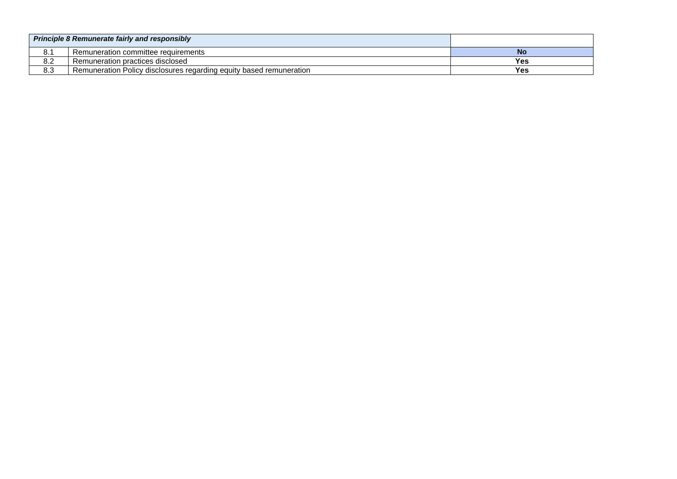| <b>Principle 8 Remunerate fairly and responsibly</b> |                                                                     |     |
|------------------------------------------------------|---------------------------------------------------------------------|-----|
| 8.1                                                  | Remuneration committee requirements                                 | No  |
| 8.2                                                  | Remuneration practices disclosed                                    | Yes |
| 8.3                                                  | Remuneration Policy disclosures regarding equity based remuneration | Yes |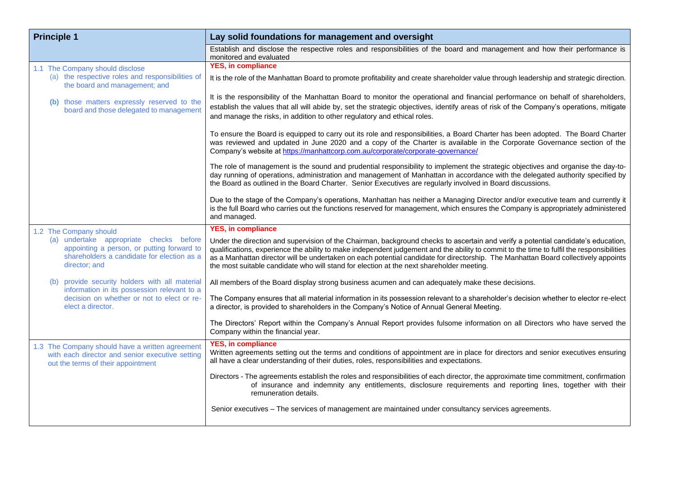| <b>Principle 1</b>                                                                                                                                   | Lay solid foundations for management and oversight                                                                                                                                                                                                                                                                                                                                                                                                                                                               |  |
|------------------------------------------------------------------------------------------------------------------------------------------------------|------------------------------------------------------------------------------------------------------------------------------------------------------------------------------------------------------------------------------------------------------------------------------------------------------------------------------------------------------------------------------------------------------------------------------------------------------------------------------------------------------------------|--|
|                                                                                                                                                      | Establish and disclose the respective roles and responsibilities of the board and management and how their performance is<br>monitored and evaluated                                                                                                                                                                                                                                                                                                                                                             |  |
| 1.1 The Company should disclose                                                                                                                      | <b>YES, in compliance</b>                                                                                                                                                                                                                                                                                                                                                                                                                                                                                        |  |
| (a) the respective roles and responsibilities of<br>the board and management; and                                                                    | It is the role of the Manhattan Board to promote profitability and create shareholder value through leadership and strategic direction.                                                                                                                                                                                                                                                                                                                                                                          |  |
| (b) those matters expressly reserved to the<br>board and those delegated to management                                                               | It is the responsibility of the Manhattan Board to monitor the operational and financial performance on behalf of shareholders,<br>establish the values that all will abide by, set the strategic objectives, identify areas of risk of the Company's operations, mitigate<br>and manage the risks, in addition to other regulatory and ethical roles.                                                                                                                                                           |  |
|                                                                                                                                                      | To ensure the Board is equipped to carry out its role and responsibilities, a Board Charter has been adopted. The Board Charter<br>was reviewed and updated in June 2020 and a copy of the Charter is available in the Corporate Governance section of the<br>Company's website at https://manhattcorp.com.au/corporate/corporate-governance/                                                                                                                                                                    |  |
|                                                                                                                                                      | The role of management is the sound and prudential responsibility to implement the strategic objectives and organise the day-to-<br>day running of operations, administration and management of Manhattan in accordance with the delegated authority specified by<br>the Board as outlined in the Board Charter. Senior Executives are regularly involved in Board discussions.                                                                                                                                  |  |
|                                                                                                                                                      | Due to the stage of the Company's operations, Manhattan has neither a Managing Director and/or executive team and currently it<br>is the full Board who carries out the functions reserved for management, which ensures the Company is appropriately administered<br>and managed.                                                                                                                                                                                                                               |  |
| 1.2 The Company should                                                                                                                               | <b>YES, in compliance</b>                                                                                                                                                                                                                                                                                                                                                                                                                                                                                        |  |
| (a) undertake appropriate checks before<br>appointing a person, or putting forward to<br>shareholders a candidate for election as a<br>director; and | Under the direction and supervision of the Chairman, background checks to ascertain and verify a potential candidate's education,<br>qualifications, experience the ability to make independent judgement and the ability to commit to the time to fulfil the responsibilities<br>as a Manhattan director will be undertaken on each potential candidate for directorship. The Manhattan Board collectively appoints<br>the most suitable candidate who will stand for election at the next shareholder meeting. |  |
| provide security holders with all material<br>(b)<br>information in its possession relevant to a                                                     | All members of the Board display strong business acumen and can adequately make these decisions.                                                                                                                                                                                                                                                                                                                                                                                                                 |  |
| decision on whether or not to elect or re-<br>elect a director.                                                                                      | The Company ensures that all material information in its possession relevant to a shareholder's decision whether to elector re-elect<br>a director, is provided to shareholders in the Company's Notice of Annual General Meeting.                                                                                                                                                                                                                                                                               |  |
|                                                                                                                                                      | The Directors' Report within the Company's Annual Report provides fulsome information on all Directors who have served the<br>Company within the financial year.                                                                                                                                                                                                                                                                                                                                                 |  |
| 1.3 The Company should have a written agreement<br>with each director and senior executive setting<br>out the terms of their appointment             | <b>YES, in compliance</b><br>Written agreements setting out the terms and conditions of appointment are in place for directors and senior executives ensuring<br>all have a clear understanding of their duties, roles, responsibilities and expectations.                                                                                                                                                                                                                                                       |  |
|                                                                                                                                                      | Directors - The agreements establish the roles and responsibilities of each director, the approximate time commitment, confirmation<br>of insurance and indemnity any entitlements, disclosure requirements and reporting lines, together with their<br>remuneration details.                                                                                                                                                                                                                                    |  |
|                                                                                                                                                      | Senior executives - The services of management are maintained under consultancy services agreements.                                                                                                                                                                                                                                                                                                                                                                                                             |  |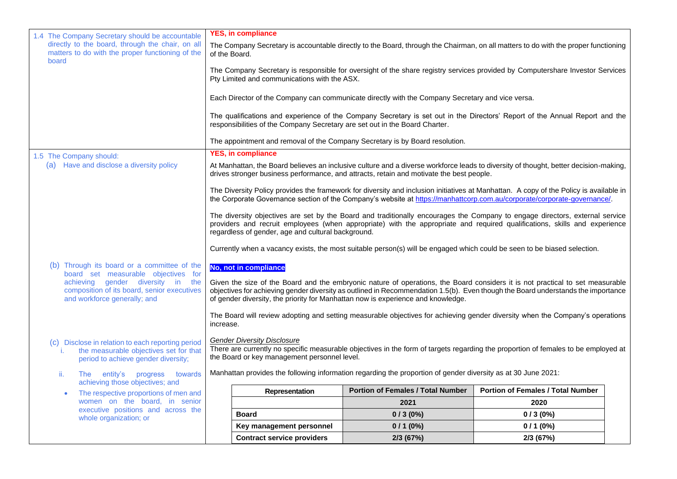| 1.4 The Company Secretary should be accountable<br>directly to the board, through the chair, on all                                      | <b>YES, in compliance</b>                                                                                                                                                                                                        |                                                                                                  | The Company Secretary is accountable directly to the Board, through the Chairman, on all matters to do with the proper functioning                                                                                                                                 |  |
|------------------------------------------------------------------------------------------------------------------------------------------|----------------------------------------------------------------------------------------------------------------------------------------------------------------------------------------------------------------------------------|--------------------------------------------------------------------------------------------------|--------------------------------------------------------------------------------------------------------------------------------------------------------------------------------------------------------------------------------------------------------------------|--|
| matters to do with the proper functioning of the<br>board                                                                                | of the Board.                                                                                                                                                                                                                    |                                                                                                  |                                                                                                                                                                                                                                                                    |  |
|                                                                                                                                          | Pty Limited and communications with the ASX.                                                                                                                                                                                     |                                                                                                  | The Company Secretary is responsible for oversight of the share registry services provided by Computershare Investor Services                                                                                                                                      |  |
|                                                                                                                                          |                                                                                                                                                                                                                                  | Each Director of the Company can communicate directly with the Company Secretary and vice versa. |                                                                                                                                                                                                                                                                    |  |
|                                                                                                                                          | responsibilities of the Company Secretary are set out in the Board Charter.                                                                                                                                                      |                                                                                                  | The qualifications and experience of the Company Secretary is set out in the Directors' Report of the Annual Report and the                                                                                                                                        |  |
|                                                                                                                                          | The appointment and removal of the Company Secretary is by Board resolution.                                                                                                                                                     |                                                                                                  |                                                                                                                                                                                                                                                                    |  |
| 1.5 The Company should:                                                                                                                  | <b>YES, in compliance</b>                                                                                                                                                                                                        |                                                                                                  |                                                                                                                                                                                                                                                                    |  |
| (a) Have and disclose a diversity policy                                                                                                 | At Manhattan, the Board believes an inclusive culture and a diverse workforce leads to diversity of thought, better decision-making,<br>drives stronger business performance, and attracts, retain and motivate the best people. |                                                                                                  |                                                                                                                                                                                                                                                                    |  |
|                                                                                                                                          |                                                                                                                                                                                                                                  |                                                                                                  | The Diversity Policy provides the framework for diversity and inclusion initiatives at Manhattan. A copy of the Policy is available in<br>the Corporate Governance section of the Company's website at https://manhattcorp.com.au/corporate/corporate-governance/. |  |
|                                                                                                                                          | regardless of gender, age and cultural background.                                                                                                                                                                               |                                                                                                  | The diversity objectives are set by the Board and traditionally encourages the Company to engage directors, external service<br>providers and recruit employees (when appropriate) with the appropriate and required qualifications, skills and experience         |  |
| Currently when a vacancy exists, the most suitable person(s) will be engaged which could be seen to be biased selection.                 |                                                                                                                                                                                                                                  |                                                                                                  |                                                                                                                                                                                                                                                                    |  |
| (b) Through its board or a committee of the<br>board set measurable objectives for                                                       | No, not in compliance                                                                                                                                                                                                            |                                                                                                  |                                                                                                                                                                                                                                                                    |  |
| achieving gender diversity in the<br>composition of its board, senior executives<br>and workforce generally; and                         | of gender diversity, the priority for Manhattan now is experience and knowledge.                                                                                                                                                 |                                                                                                  | Given the size of the Board and the embryonic nature of operations, the Board considers it is not practical to set measurable<br>objectives for achieving gender diversity as outlined in Recommendation 1.5(b). Even though the Board understands the importance  |  |
|                                                                                                                                          | increase.                                                                                                                                                                                                                        |                                                                                                  | The Board will review adopting and setting measurable objectives for achieving gender diversity when the Company's operations                                                                                                                                      |  |
| (c) Disclose in relation to each reporting period<br>the measurable objectives set for that<br>i.<br>period to achieve gender diversity; | <b>Gender Diversity Disclosure</b><br>There are currently no specific measurable objectives in the form of targets regarding the proportion of females to be employed at<br>the Board or key management personnel level.         |                                                                                                  |                                                                                                                                                                                                                                                                    |  |
| The entity's progress towards<br>ii.<br>achieving those objectives; and                                                                  | Manhattan provides the following information regarding the proportion of gender diversity as at 30 June 2021:                                                                                                                    |                                                                                                  |                                                                                                                                                                                                                                                                    |  |
| The respective proportions of men and                                                                                                    | Representation                                                                                                                                                                                                                   | <b>Portion of Females / Total Number</b>                                                         | <b>Portion of Females / Total Number</b>                                                                                                                                                                                                                           |  |
| women on the board, in senior<br>executive positions and across the                                                                      |                                                                                                                                                                                                                                  | 2021                                                                                             | 2020                                                                                                                                                                                                                                                               |  |
| whole organization; or                                                                                                                   | <b>Board</b>                                                                                                                                                                                                                     | $0/3(0\%)$                                                                                       | $0/3(0\%)$                                                                                                                                                                                                                                                         |  |
|                                                                                                                                          | Key management personnel                                                                                                                                                                                                         | $0/1(0\%)$                                                                                       | $0/1(0\%)$                                                                                                                                                                                                                                                         |  |
|                                                                                                                                          | <b>Contract service providers</b>                                                                                                                                                                                                | 2/3 (67%)                                                                                        | 2/3 (67%)                                                                                                                                                                                                                                                          |  |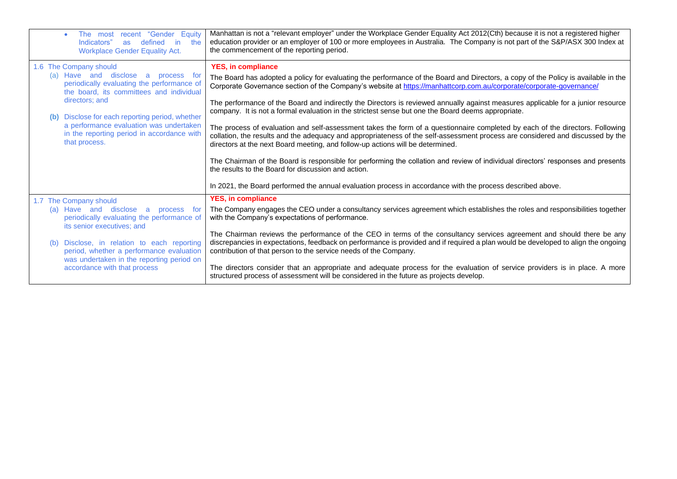| "Gender<br>Equity<br>The most recent<br>defined<br>Indicators"<br>in.<br>the<br><b>as</b><br><b>Workplace Gender Equality Act.</b>                                                                                                                                                                                                    | Manhattan is not a "relevant employer" under the Workplace Gender Equality Act 2012(Cth) because it is not a registered higher<br>education provider or an employer of 100 or more employees in Australia. The Company is not part of the S&P/ASX 300 Index at<br>the commencement of the reporting period.                                                                                                                                                                                                                                                                                                                                                                                                                                                                                                                                                                                                                                                                                                                                                                                                                                                                                    |
|---------------------------------------------------------------------------------------------------------------------------------------------------------------------------------------------------------------------------------------------------------------------------------------------------------------------------------------|------------------------------------------------------------------------------------------------------------------------------------------------------------------------------------------------------------------------------------------------------------------------------------------------------------------------------------------------------------------------------------------------------------------------------------------------------------------------------------------------------------------------------------------------------------------------------------------------------------------------------------------------------------------------------------------------------------------------------------------------------------------------------------------------------------------------------------------------------------------------------------------------------------------------------------------------------------------------------------------------------------------------------------------------------------------------------------------------------------------------------------------------------------------------------------------------|
| 1.6 The Company should<br>(a) Have and disclose a<br>process for<br>periodically evaluating the performance of<br>the board, its committees and individual<br>directors; and<br>Disclose for each reporting period, whether<br>a performance evaluation was undertaken<br>in the reporting period in accordance with<br>that process. | <b>YES, in compliance</b><br>The Board has adopted a policy for evaluating the performance of the Board and Directors, a copy of the Policy is available in the<br>Corporate Governance section of the Company's website at https://manhattcorp.com.au/corporate/corporate-governance/<br>The performance of the Board and indirectly the Directors is reviewed annually against measures applicable for a junior resource<br>company. It is not a formal evaluation in the strictest sense but one the Board deems appropriate.<br>The process of evaluation and self-assessment takes the form of a questionnaire completed by each of the directors. Following<br>collation, the results and the adequacy and appropriateness of the self-assessment process are considered and discussed by the<br>directors at the next Board meeting, and follow-up actions will be determined.<br>The Chairman of the Board is responsible for performing the collation and review of individual directors' responses and presents<br>the results to the Board for discussion and action.<br>In 2021, the Board performed the annual evaluation process in accordance with the process described above. |
| 1.7 The Company should<br>(a) Have and disclose<br>process for<br>a<br>periodically evaluating the performance of<br>its senior executives; and<br>Disclose, in relation to each reporting<br>period, whether a performance evaluation<br>was undertaken in the reporting period on<br>accordance with that process                   | <b>YES, in compliance</b><br>The Company engages the CEO under a consultancy services agreement which establishes the roles and responsibilities together<br>with the Company's expectations of performance.<br>The Chairman reviews the performance of the CEO in terms of the consultancy services agreement and should there be any<br>discrepancies in expectations, feedback on performance is provided and if required a plan would be developed to align the ongoing<br>contribution of that person to the service needs of the Company.<br>The directors consider that an appropriate and adequate process for the evaluation of service providers is in place. A more<br>structured process of assessment will be considered in the future as projects develop.                                                                                                                                                                                                                                                                                                                                                                                                                       |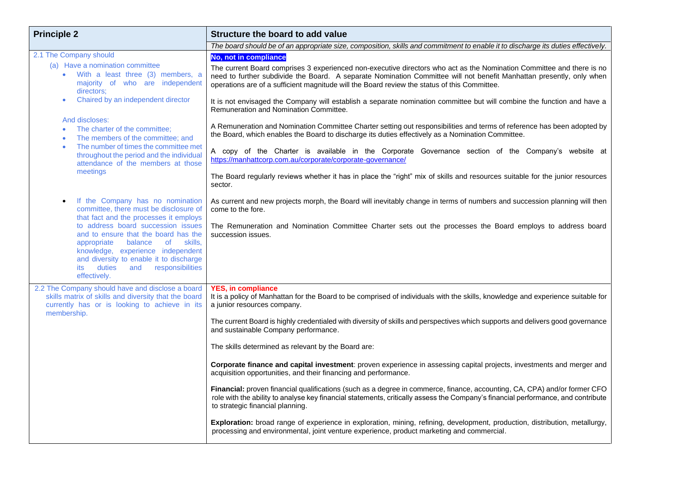| <b>Principle 2</b>                                                                                                                                                                                                                                                                                                                                                                                                                                                                                                                                                                                                                 | Structure the board to add value                                                                                                                                                                                                                                                                                                                                                                                                                                                                                                                                                                                                                                                                                                                                                                                                                                                                                                                                                                                                                                                                                                                          |  |
|------------------------------------------------------------------------------------------------------------------------------------------------------------------------------------------------------------------------------------------------------------------------------------------------------------------------------------------------------------------------------------------------------------------------------------------------------------------------------------------------------------------------------------------------------------------------------------------------------------------------------------|-----------------------------------------------------------------------------------------------------------------------------------------------------------------------------------------------------------------------------------------------------------------------------------------------------------------------------------------------------------------------------------------------------------------------------------------------------------------------------------------------------------------------------------------------------------------------------------------------------------------------------------------------------------------------------------------------------------------------------------------------------------------------------------------------------------------------------------------------------------------------------------------------------------------------------------------------------------------------------------------------------------------------------------------------------------------------------------------------------------------------------------------------------------|--|
|                                                                                                                                                                                                                                                                                                                                                                                                                                                                                                                                                                                                                                    | The board should be of an appropriate size, composition, skills and commitment to enable it to discharge its duties effectively.                                                                                                                                                                                                                                                                                                                                                                                                                                                                                                                                                                                                                                                                                                                                                                                                                                                                                                                                                                                                                          |  |
| 2.1 The Company should<br>(a) Have a nomination committee<br>With a least three (3) members, a<br>majority of who are independent<br>directors:<br>Chaired by an independent director<br>And discloses:<br>The charter of the committee;<br>The members of the committee; and<br>$\bullet$<br>The number of times the committee met<br>$\bullet$<br>throughout the period and the individual<br>attendance of the members at those<br>meetings                                                                                                                                                                                     | <b>No, not in compliance</b><br>The current Board comprises 3 experienced non-executive directors who act as the Nomination Committee and there is no<br>need to further subdivide the Board. A separate Nomination Committee will not benefit Manhattan presently, only when<br>operations are of a sufficient magnitude will the Board review the status of this Committee.<br>It is not envisaged the Company will establish a separate nomination committee but will combine the function and have a<br>Remuneration and Nomination Committee.<br>A Remuneration and Nomination Committee Charter setting out responsibilities and terms of reference has been adopted by<br>the Board, which enables the Board to discharge its duties effectively as a Nomination Committee.<br>A copy of the Charter is available in the Corporate Governance section of the Company's website at<br>https://manhattcorp.com.au/corporate/corporate-governance/<br>The Board regularly reviews whether it has in place the "right" mix of skills and resources suitable for the junior resources<br>sector.                                                        |  |
| If the Company has no nomination<br>$\bullet$<br>committee, there must be disclosure of<br>that fact and the processes it employs<br>to address board succession issues<br>and to ensure that the board has the<br>appropriate<br>balance<br>of the contract of the contract of the contract of the contract of the contract of the contract of the contract of the contract of the contract of the contract of the contract of the contract of the contract of the contrac<br>skills,<br>knowledge, experience independent<br>and diversity to enable it to discharge<br>duties<br>and<br>responsibilities<br>its<br>effectively. | As current and new projects morph, the Board will inevitably change in terms of numbers and succession planning will then<br>come to the fore.<br>The Remuneration and Nomination Committee Charter sets out the processes the Board employs to address board<br>succession issues.                                                                                                                                                                                                                                                                                                                                                                                                                                                                                                                                                                                                                                                                                                                                                                                                                                                                       |  |
| 2.2 The Company should have and disclose a board<br>skills matrix of skills and diversity that the board<br>currently has or is looking to achieve in its<br>membership.                                                                                                                                                                                                                                                                                                                                                                                                                                                           | <b>YES. in compliance</b><br>It is a policy of Manhattan for the Board to be comprised of individuals with the skills, knowledge and experience suitable for<br>a junior resources company.<br>The current Board is highly credentialed with diversity of skills and perspectives which supports and delivers good governance<br>and sustainable Company performance.<br>The skills determined as relevant by the Board are:<br>Corporate finance and capital investment: proven experience in assessing capital projects, investments and merger and<br>acquisition opportunities, and their financing and performance.<br>Financial: proven financial qualifications (such as a degree in commerce, finance, accounting, CA, CPA) and/or former CFO<br>role with the ability to analyse key financial statements, critically assess the Company's financial performance, and contribute<br>to strategic financial planning.<br>Exploration: broad range of experience in exploration, mining, refining, development, production, distribution, metallurgy,<br>processing and environmental, joint venture experience, product marketing and commercial. |  |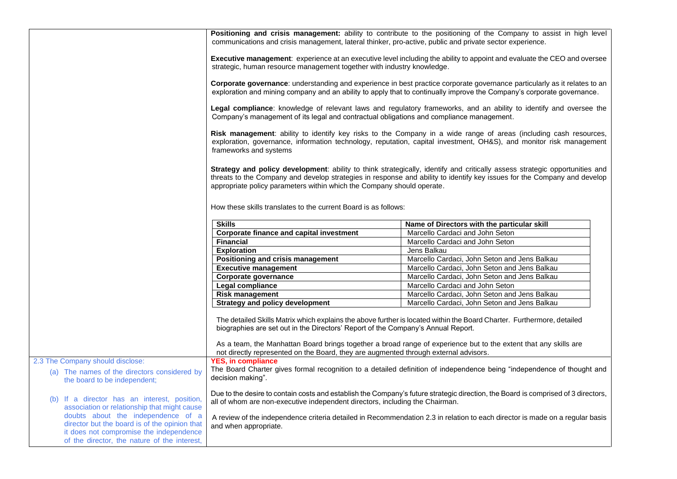|                                                                                                                                                                                | Positioning and crisis management: ability to contribute to the positioning of the Company to assist in high level<br>communications and crisis management, lateral thinker, pro-active, public and private sector experience.                                                                                                    |                                                                                                                                                                                                                                                     |  |
|--------------------------------------------------------------------------------------------------------------------------------------------------------------------------------|-----------------------------------------------------------------------------------------------------------------------------------------------------------------------------------------------------------------------------------------------------------------------------------------------------------------------------------|-----------------------------------------------------------------------------------------------------------------------------------------------------------------------------------------------------------------------------------------------------|--|
|                                                                                                                                                                                | Executive management: experience at an executive level including the ability to appoint and evaluate the CEO and oversee<br>strategic, human resource management together with industry knowledge.                                                                                                                                |                                                                                                                                                                                                                                                     |  |
|                                                                                                                                                                                |                                                                                                                                                                                                                                                                                                                                   | Corporate governance: understanding and experience in best practice corporate governance particularly as it relates to an<br>exploration and mining company and an ability to apply that to continually improve the Company's corporate governance. |  |
|                                                                                                                                                                                | Legal compliance: knowledge of relevant laws and regulatory frameworks, and an ability to identify and oversee the<br>Company's management of its legal and contractual obligations and compliance management.                                                                                                                    |                                                                                                                                                                                                                                                     |  |
|                                                                                                                                                                                | Risk management: ability to identify key risks to the Company in a wide range of areas (including cash resources,<br>exploration, governance, information technology, reputation, capital investment, OH&S), and monitor risk management<br>frameworks and systems                                                                |                                                                                                                                                                                                                                                     |  |
|                                                                                                                                                                                | Strategy and policy development: ability to think strategically, identify and critically assess strategic opportunities and<br>threats to the Company and develop strategies in response and ability to identify key issues for the Company and develop<br>appropriate policy parameters within which the Company should operate. |                                                                                                                                                                                                                                                     |  |
|                                                                                                                                                                                | How these skills translates to the current Board is as follows:                                                                                                                                                                                                                                                                   |                                                                                                                                                                                                                                                     |  |
|                                                                                                                                                                                | <b>Skills</b>                                                                                                                                                                                                                                                                                                                     | Name of Directors with the particular skill                                                                                                                                                                                                         |  |
|                                                                                                                                                                                | <b>Corporate finance and capital investment</b>                                                                                                                                                                                                                                                                                   | Marcello Cardaci and John Seton                                                                                                                                                                                                                     |  |
|                                                                                                                                                                                | <b>Financial</b>                                                                                                                                                                                                                                                                                                                  | Marcello Cardaci and John Seton                                                                                                                                                                                                                     |  |
|                                                                                                                                                                                | <b>Exploration</b>                                                                                                                                                                                                                                                                                                                | Jens Balkau                                                                                                                                                                                                                                         |  |
|                                                                                                                                                                                | Positioning and crisis management                                                                                                                                                                                                                                                                                                 | Marcello Cardaci, John Seton and Jens Balkau                                                                                                                                                                                                        |  |
|                                                                                                                                                                                | <b>Executive management</b>                                                                                                                                                                                                                                                                                                       | Marcello Cardaci, John Seton and Jens Balkau                                                                                                                                                                                                        |  |
|                                                                                                                                                                                | Corporate governance                                                                                                                                                                                                                                                                                                              | Marcello Cardaci, John Seton and Jens Balkau                                                                                                                                                                                                        |  |
|                                                                                                                                                                                | Legal compliance                                                                                                                                                                                                                                                                                                                  | Marcello Cardaci and John Seton                                                                                                                                                                                                                     |  |
|                                                                                                                                                                                | <b>Risk management</b>                                                                                                                                                                                                                                                                                                            | Marcello Cardaci, John Seton and Jens Balkau                                                                                                                                                                                                        |  |
|                                                                                                                                                                                | Strategy and policy development                                                                                                                                                                                                                                                                                                   | Marcello Cardaci, John Seton and Jens Balkau                                                                                                                                                                                                        |  |
|                                                                                                                                                                                | biographies are set out in the Directors' Report of the Company's Annual Report.                                                                                                                                                                                                                                                  | The detailed Skills Matrix which explains the above further is located within the Board Charter. Furthermore, detailed                                                                                                                              |  |
|                                                                                                                                                                                | not directly represented on the Board, they are augmented through external advisors.                                                                                                                                                                                                                                              | As a team, the Manhattan Board brings together a broad range of experience but to the extent that any skills are                                                                                                                                    |  |
| 2.3 The Company should disclose:                                                                                                                                               | <b>YES, in compliance</b>                                                                                                                                                                                                                                                                                                         |                                                                                                                                                                                                                                                     |  |
| (a) The names of the directors considered by<br>the board to be independent;                                                                                                   | decision making".                                                                                                                                                                                                                                                                                                                 | The Board Charter gives formal recognition to a detailed definition of independence being "independence of thought and                                                                                                                              |  |
| (b) If a director has an interest, position,<br>association or relationship that might cause                                                                                   | Due to the desire to contain costs and establish the Company's future strategic direction, the Board is comprised of 3 directors,<br>all of whom are non-executive independent directors, including the Chairman.                                                                                                                 |                                                                                                                                                                                                                                                     |  |
| doubts about the independence of a<br>director but the board is of the opinion that<br>it does not compromise the independence<br>of the director, the nature of the interest, | and when appropriate.                                                                                                                                                                                                                                                                                                             | A review of the independence criteria detailed in Recommendation 2.3 in relation to each director is made on a regular basis                                                                                                                        |  |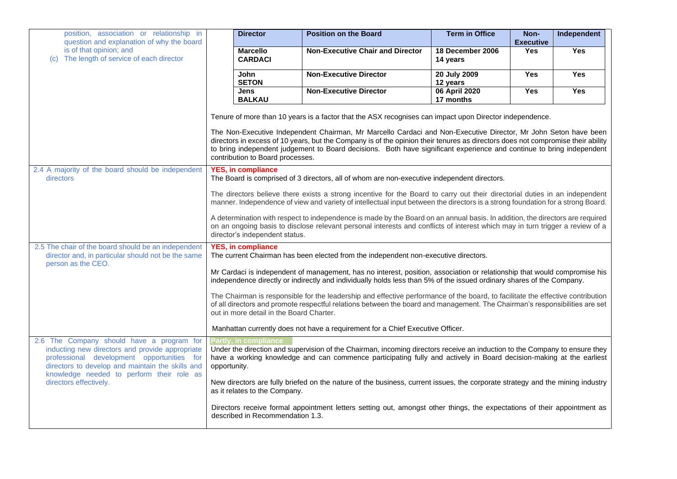| position, association or relationship in<br>question and explanation of why the board<br>is of that opinion; and<br>The length of service of each director<br>(C)                                                                           | <b>Director</b>                                                                                                          | <b>Position on the Board</b>                                                                                                                                                                                                                                                                                                                                                | <b>Term in Office</b>        | Non-<br><b>Executive</b> | Independent |
|---------------------------------------------------------------------------------------------------------------------------------------------------------------------------------------------------------------------------------------------|--------------------------------------------------------------------------------------------------------------------------|-----------------------------------------------------------------------------------------------------------------------------------------------------------------------------------------------------------------------------------------------------------------------------------------------------------------------------------------------------------------------------|------------------------------|--------------------------|-------------|
|                                                                                                                                                                                                                                             | <b>Marcello</b><br><b>CARDACI</b>                                                                                        | <b>Non-Executive Chair and Director</b>                                                                                                                                                                                                                                                                                                                                     | 18 December 2006<br>14 years | <b>Yes</b>               | Yes         |
|                                                                                                                                                                                                                                             | <b>John</b><br><b>SETON</b>                                                                                              | <b>Non-Executive Director</b>                                                                                                                                                                                                                                                                                                                                               | 20 July 2009<br>12 years     | Yes                      | Yes         |
|                                                                                                                                                                                                                                             | <b>Jens</b><br><b>BALKAU</b>                                                                                             | <b>Non-Executive Director</b>                                                                                                                                                                                                                                                                                                                                               | 06 April 2020<br>17 months   | Yes                      | Yes         |
|                                                                                                                                                                                                                                             |                                                                                                                          | Tenure of more than 10 years is a factor that the ASX recognises can impact upon Director independence.                                                                                                                                                                                                                                                                     |                              |                          |             |
|                                                                                                                                                                                                                                             | contribution to Board processes.                                                                                         | The Non-Executive Independent Chairman, Mr Marcello Cardaci and Non-Executive Director, Mr John Seton have been<br>directors in excess of 10 years, but the Company is of the opinion their tenures as directors does not compromise their ability<br>to bring independent judgement to Board decisions. Both have significant experience and continue to bring independent |                              |                          |             |
| 2.4 A majority of the board should be independent<br>directors                                                                                                                                                                              | <b>YES, in compliance</b><br>The Board is comprised of 3 directors, all of whom are non-executive independent directors. |                                                                                                                                                                                                                                                                                                                                                                             |                              |                          |             |
|                                                                                                                                                                                                                                             |                                                                                                                          | The directors believe there exists a strong incentive for the Board to carry out their directorial duties in an independent<br>manner. Independence of view and variety of intellectual input between the directors is a strong foundation for a strong Board.                                                                                                              |                              |                          |             |
|                                                                                                                                                                                                                                             | director's independent status.                                                                                           | A determination with respect to independence is made by the Board on an annual basis. In addition, the directors are required<br>on an ongoing basis to disclose relevant personal interests and conflicts of interest which may in turn trigger a review of a                                                                                                              |                              |                          |             |
| 2.5 The chair of the board should be an independent<br>director and, in particular should not be the same<br>person as the CEO.                                                                                                             | <b>YES, in compliance</b><br>The current Chairman has been elected from the independent non-executive directors.         |                                                                                                                                                                                                                                                                                                                                                                             |                              |                          |             |
|                                                                                                                                                                                                                                             |                                                                                                                          | Mr Cardaci is independent of management, has no interest, position, association or relationship that would compromise his<br>independence directly or indirectly and individually holds less than 5% of the issued ordinary shares of the Company.                                                                                                                          |                              |                          |             |
|                                                                                                                                                                                                                                             | out in more detail in the Board Charter.                                                                                 | The Chairman is responsible for the leadership and effective performance of the board, to facilitate the effective contribution<br>of all directors and promote respectful relations between the board and management. The Chairman's responsibilities are set                                                                                                              |                              |                          |             |
|                                                                                                                                                                                                                                             |                                                                                                                          | Manhattan currently does not have a requirement for a Chief Executive Officer.                                                                                                                                                                                                                                                                                              |                              |                          |             |
| 2.6 The Company should have a program for<br>inducting new directors and provide appropriate<br>professional development opportunities for<br>directors to develop and maintain the skills and<br>knowledge needed to perform their role as | Partly, in compliance<br>opportunity.                                                                                    | Under the direction and supervision of the Chairman, incoming directors receive an induction to the Company to ensure they<br>have a working knowledge and can commence participating fully and actively in Board decision-making at the earliest                                                                                                                           |                              |                          |             |
| directors effectively.                                                                                                                                                                                                                      | as it relates to the Company.                                                                                            | New directors are fully briefed on the nature of the business, current issues, the corporate strategy and the mining industry                                                                                                                                                                                                                                               |                              |                          |             |
|                                                                                                                                                                                                                                             | described in Recommendation 1.3.                                                                                         | Directors receive formal appointment letters setting out, amongst other things, the expectations of their appointment as                                                                                                                                                                                                                                                    |                              |                          |             |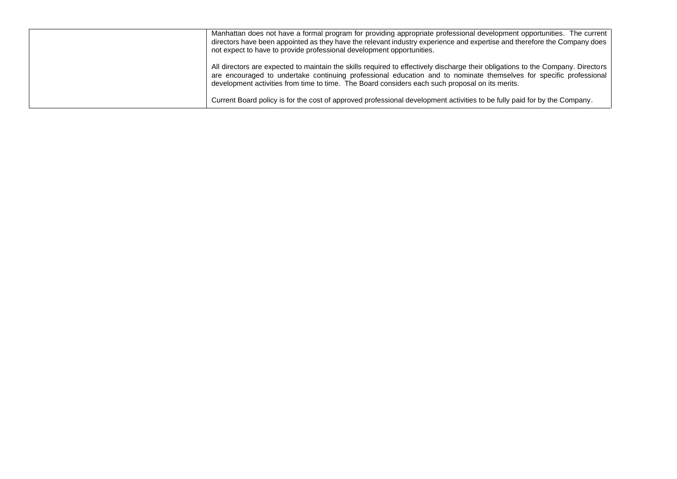| Manhattan does not have a formal program for providing appropriate professional development opportunities. The current<br>directors have been appointed as they have the relevant industry experience and expertise and therefore the Company does<br>not expect to have to provide professional development opportunities.                              |
|----------------------------------------------------------------------------------------------------------------------------------------------------------------------------------------------------------------------------------------------------------------------------------------------------------------------------------------------------------|
| All directors are expected to maintain the skills required to effectively discharge their obligations to the Company. Directors<br>are encouraged to undertake continuing professional education and to nominate themselves for specific professional<br>development activities from time to time. The Board considers each such proposal on its merits. |
| Current Board policy is for the cost of approved professional development activities to be fully paid for by the Company.                                                                                                                                                                                                                                |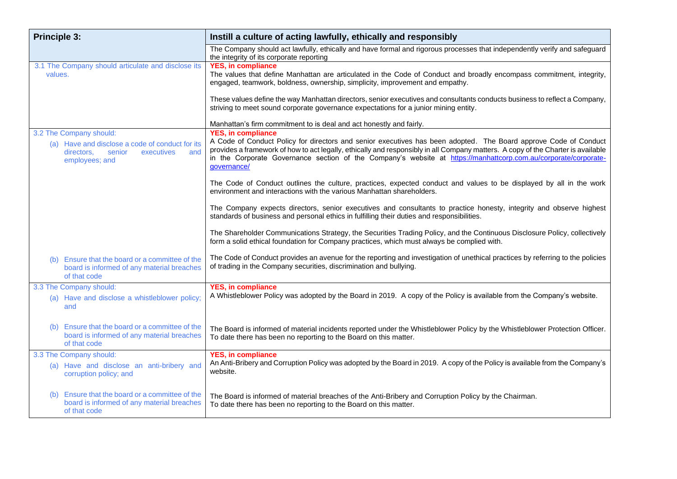| <b>Principle 3:</b>                                                                                                                       | Instill a culture of acting lawfully, ethically and responsibly                                                                                                                                                                                                                                                                                                                                                     |
|-------------------------------------------------------------------------------------------------------------------------------------------|---------------------------------------------------------------------------------------------------------------------------------------------------------------------------------------------------------------------------------------------------------------------------------------------------------------------------------------------------------------------------------------------------------------------|
|                                                                                                                                           | The Company should act lawfully, ethically and have formal and rigorous processes that independently verify and safeguard<br>the integrity of its corporate reporting                                                                                                                                                                                                                                               |
| 3.1 The Company should articulate and disclose its<br>values.                                                                             | <b>YES, in compliance</b><br>The values that define Manhattan are articulated in the Code of Conduct and broadly encompass commitment, integrity,<br>engaged, teamwork, boldness, ownership, simplicity, improvement and empathy.                                                                                                                                                                                   |
|                                                                                                                                           | These values define the way Manhattan directors, senior executives and consultants conducts business to reflect a Company,<br>striving to meet sound corporate governance expectations for a junior mining entity.                                                                                                                                                                                                  |
|                                                                                                                                           | Manhattan's firm commitment to is deal and act honestly and fairly.                                                                                                                                                                                                                                                                                                                                                 |
| 3.2 The Company should:<br>(a) Have and disclose a code of conduct for its<br>executives<br>directors.<br>senior<br>and<br>employees; and | <b>YES, in compliance</b><br>A Code of Conduct Policy for directors and senior executives has been adopted. The Board approve Code of Conduct<br>provides a framework of how to act legally, ethically and responsibly in all Company matters. A copy of the Charter is available<br>in the Corporate Governance section of the Company's website at https://manhattcorp.com.au/corporate/corporate-<br>governance/ |
|                                                                                                                                           | The Code of Conduct outlines the culture, practices, expected conduct and values to be displayed by all in the work<br>environment and interactions with the various Manhattan shareholders.                                                                                                                                                                                                                        |
|                                                                                                                                           | The Company expects directors, senior executives and consultants to practice honesty, integrity and observe highest<br>standards of business and personal ethics in fulfilling their duties and responsibilities.                                                                                                                                                                                                   |
|                                                                                                                                           | The Shareholder Communications Strategy, the Securities Trading Policy, and the Continuous Disclosure Policy, collectively<br>form a solid ethical foundation for Company practices, which must always be complied with.                                                                                                                                                                                            |
| Ensure that the board or a committee of the<br>(b)<br>board is informed of any material breaches<br>of that code                          | The Code of Conduct provides an avenue for the reporting and investigation of unethical practices by referring to the policies<br>of trading in the Company securities, discrimination and bullying.                                                                                                                                                                                                                |
| 3.3 The Company should:                                                                                                                   | <b>YES, in compliance</b>                                                                                                                                                                                                                                                                                                                                                                                           |
| (a) Have and disclose a whistleblower policy;<br>and                                                                                      | A Whistleblower Policy was adopted by the Board in 2019. A copy of the Policy is available from the Company's website.                                                                                                                                                                                                                                                                                              |
| Ensure that the board or a committee of the<br>(b)<br>board is informed of any material breaches<br>of that code                          | The Board is informed of material incidents reported under the Whistleblower Policy by the Whistleblower Protection Officer.<br>To date there has been no reporting to the Board on this matter.                                                                                                                                                                                                                    |
| 3.3 The Company should:                                                                                                                   | <b>YES, in compliance</b>                                                                                                                                                                                                                                                                                                                                                                                           |
| (a) Have and disclose an anti-bribery and<br>corruption policy; and                                                                       | An Anti-Bribery and Corruption Policy was adopted by the Board in 2019. A copy of the Policy is available from the Company's<br>website.                                                                                                                                                                                                                                                                            |
| Ensure that the board or a committee of the<br>(b)<br>board is informed of any material breaches<br>of that code                          | The Board is informed of material breaches of the Anti-Bribery and Corruption Policy by the Chairman.<br>To date there has been no reporting to the Board on this matter.                                                                                                                                                                                                                                           |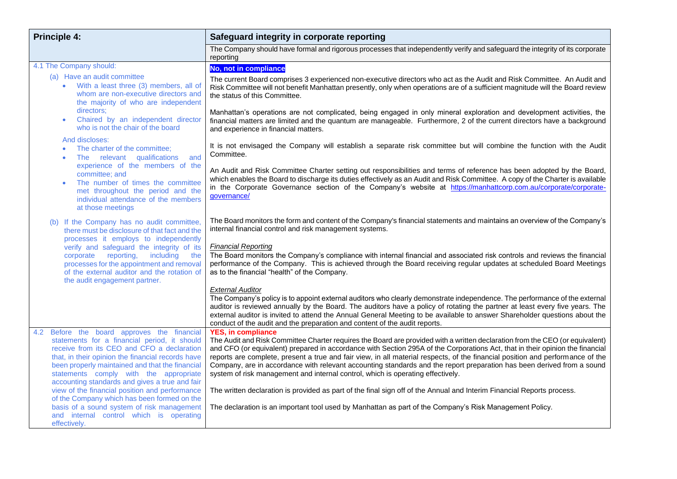| <b>Principle 4:</b>                                                                                                                                                                                                                                                                                                                              | Safeguard integrity in corporate reporting                                                                                                                                                                                                                                                                                                                                                                                                                                                                                                                                                                                                |  |
|--------------------------------------------------------------------------------------------------------------------------------------------------------------------------------------------------------------------------------------------------------------------------------------------------------------------------------------------------|-------------------------------------------------------------------------------------------------------------------------------------------------------------------------------------------------------------------------------------------------------------------------------------------------------------------------------------------------------------------------------------------------------------------------------------------------------------------------------------------------------------------------------------------------------------------------------------------------------------------------------------------|--|
|                                                                                                                                                                                                                                                                                                                                                  | The Company should have formal and rigorous processes that independently verify and safeguard the integrity of its corporate<br>reporting                                                                                                                                                                                                                                                                                                                                                                                                                                                                                                 |  |
| 4.1 The Company should:                                                                                                                                                                                                                                                                                                                          | No, not in compliance                                                                                                                                                                                                                                                                                                                                                                                                                                                                                                                                                                                                                     |  |
| (a) Have an audit committee<br>With a least three (3) members, all of<br>whom are non-executive directors and<br>the majority of who are independent                                                                                                                                                                                             | The current Board comprises 3 experienced non-executive directors who act as the Audit and Risk Committee. An Audit and<br>Risk Committee will not benefit Manhattan presently, only when operations are of a sufficient magnitude will the Board review<br>the status of this Committee.                                                                                                                                                                                                                                                                                                                                                 |  |
| directors;<br>Chaired by an independent director<br>$\bullet$<br>who is not the chair of the board                                                                                                                                                                                                                                               | Manhattan's operations are not complicated, being engaged in only mineral exploration and development activities, the<br>financial matters are limited and the quantum are manageable. Furthermore, 2 of the current directors have a background<br>and experience in financial matters.                                                                                                                                                                                                                                                                                                                                                  |  |
| And discloses:<br>The charter of the committee;<br>The relevant qualifications<br>and                                                                                                                                                                                                                                                            | It is not envisaged the Company will establish a separate risk committee but will combine the function with the Audit<br>Committee.                                                                                                                                                                                                                                                                                                                                                                                                                                                                                                       |  |
| experience of the members of the<br>committee; and<br>The number of times the committee<br>$\bullet$<br>met throughout the period and the<br>individual attendance of the members<br>at those meetings                                                                                                                                           | An Audit and Risk Committee Charter setting out responsibilities and terms of reference has been adopted by the Board,<br>which enables the Board to discharge its duties effectively as an Audit and Risk Committee. A copy of the Charter is available<br>in the Corporate Governance section of the Company's website at https://manhattcorp.com.au/corporate/corporate-<br>governance/                                                                                                                                                                                                                                                |  |
| (b) If the Company has no audit committee,<br>there must be disclosure of that fact and the<br>processes it employs to independently<br>verify and safeguard the integrity of its<br>reporting,<br>including<br>corporate<br>the                                                                                                                 | The Board monitors the form and content of the Company's financial statements and maintains an overview of the Company's<br>internal financial control and risk management systems.<br><b>Financial Reporting</b><br>The Board monitors the Company's compliance with internal financial and associated risk controls and reviews the financial                                                                                                                                                                                                                                                                                           |  |
| processes for the appointment and removal<br>of the external auditor and the rotation of<br>the audit engagement partner.                                                                                                                                                                                                                        | performance of the Company. This is achieved through the Board receiving regular updates at scheduled Board Meetings<br>as to the financial "health" of the Company.                                                                                                                                                                                                                                                                                                                                                                                                                                                                      |  |
|                                                                                                                                                                                                                                                                                                                                                  | <b>External Auditor</b><br>The Company's policy is to appoint external auditors who clearly demonstrate independence. The performance of the external<br>auditor is reviewed annually by the Board. The auditors have a policy of rotating the partner at least every five years. The<br>external auditor is invited to attend the Annual General Meeting to be available to answer Shareholder questions about the<br>conduct of the audit and the preparation and content of the audit reports.                                                                                                                                         |  |
| Before the board approves the financial<br>4.2<br>statements for a financial period, it should<br>receive from its CEO and CFO a declaration<br>that, in their opinion the financial records have<br>been properly maintained and that the financial<br>statements comply with the appropriate<br>accounting standards and gives a true and fair | <b>YES, in compliance</b><br>The Audit and Risk Committee Charter requires the Board are provided with a written declaration from the CEO (or equivalent)<br>and CFO (or equivalent) prepared in accordance with Section 295A of the Corporations Act, that in their opinion the financial<br>reports are complete, present a true and fair view, in all material respects, of the financial position and performance of the<br>Company, are in accordance with relevant accounting standards and the report preparation has been derived from a sound<br>system of risk management and internal control, which is operating effectively. |  |
| view of the financial position and performance<br>of the Company which has been formed on the                                                                                                                                                                                                                                                    | The written declaration is provided as part of the final sign off of the Annual and Interim Financial Reports process.                                                                                                                                                                                                                                                                                                                                                                                                                                                                                                                    |  |
| basis of a sound system of risk management<br>and internal control which is operating                                                                                                                                                                                                                                                            | The declaration is an important tool used by Manhattan as part of the Company's Risk Management Policy.                                                                                                                                                                                                                                                                                                                                                                                                                                                                                                                                   |  |
| effectively.                                                                                                                                                                                                                                                                                                                                     |                                                                                                                                                                                                                                                                                                                                                                                                                                                                                                                                                                                                                                           |  |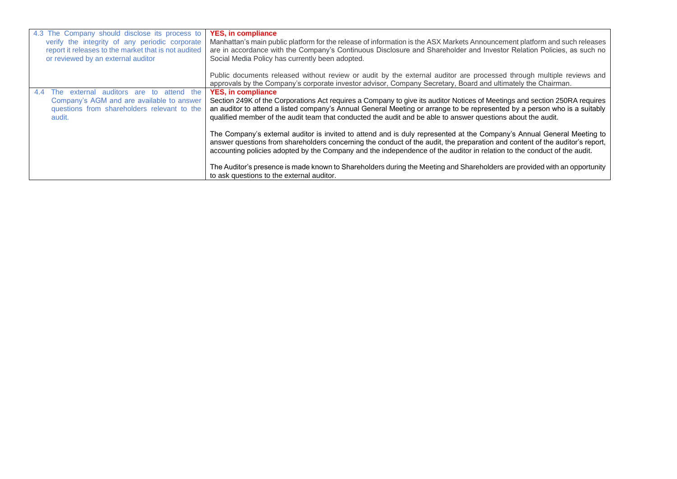| 4.3 The Company should disclose its process to<br>verify the integrity of any periodic corporate<br>report it releases to the market that is not audited<br>or reviewed by an external auditor | <b>YES, in compliance</b><br>Manhattan's main public platform for the release of information is the ASX Markets Announcement platform and such releases<br>are in accordance with the Company's Continuous Disclosure and Shareholder and Investor Relation Policies, as such no<br>Social Media Policy has currently been adopted.                                                                  |
|------------------------------------------------------------------------------------------------------------------------------------------------------------------------------------------------|------------------------------------------------------------------------------------------------------------------------------------------------------------------------------------------------------------------------------------------------------------------------------------------------------------------------------------------------------------------------------------------------------|
|                                                                                                                                                                                                | Public documents released without review or audit by the external auditor are processed through multiple reviews and<br>approvals by the Company's corporate investor advisor, Company Secretary, Board and ultimately the Chairman.                                                                                                                                                                 |
| The external auditors are to attend the<br>4.4<br>Company's AGM and are available to answer<br>questions from shareholders relevant to the<br>audit.                                           | <b>YES, in compliance</b><br>Section 249K of the Corporations Act requires a Company to give its auditor Notices of Meetings and section 250RA requires<br>an auditor to attend a listed company's Annual General Meeting or arrange to be represented by a person who is a suitably<br>qualified member of the audit team that conducted the audit and be able to answer questions about the audit. |
|                                                                                                                                                                                                | The Company's external auditor is invited to attend and is duly represented at the Company's Annual General Meeting to<br>answer questions from shareholders concerning the conduct of the audit, the preparation and content of the auditor's report,<br>accounting policies adopted by the Company and the independence of the auditor in relation to the conduct of the audit.                    |
|                                                                                                                                                                                                | The Auditor's presence is made known to Shareholders during the Meeting and Shareholders are provided with an opportunity<br>to ask questions to the external auditor.                                                                                                                                                                                                                               |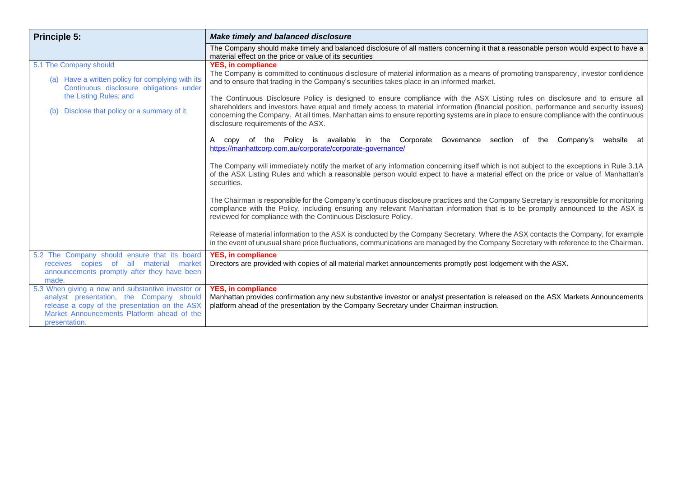| <b>Principle 5:</b>                                                                                                                                                                                           | <b>Make timely and balanced disclosure</b>                                                                                                                                                                                                                                                                                                                                                                                                                                                                                             |
|---------------------------------------------------------------------------------------------------------------------------------------------------------------------------------------------------------------|----------------------------------------------------------------------------------------------------------------------------------------------------------------------------------------------------------------------------------------------------------------------------------------------------------------------------------------------------------------------------------------------------------------------------------------------------------------------------------------------------------------------------------------|
|                                                                                                                                                                                                               | The Company should make timely and balanced disclosure of all matters concerning it that a reasonable person would expect to have a<br>material effect on the price or value of its securities                                                                                                                                                                                                                                                                                                                                         |
| 5.1 The Company should<br>(a) Have a written policy for complying with its<br>Continuous disclosure obligations under<br>the Listing Rules; and<br>Disclose that policy or a summary of it<br>(b)             | <b>YES, in compliance</b><br>The Company is committed to continuous disclosure of material information as a means of promoting transparency, investor confidence<br>and to ensure that trading in the Company's securities takes place in an informed market.<br>The Continuous Disclosure Policy is designed to ensure compliance with the ASX Listing rules on disclosure and to ensure all<br>shareholders and investors have equal and timely access to material information (financial position, performance and security issues) |
|                                                                                                                                                                                                               | concerning the Company. At all times, Manhattan aims to ensure reporting systems are in place to ensure compliance with the continuous<br>disclosure requirements of the ASX.<br>A copy of the Policy is available in the Corporate<br>Governance<br>section of the<br>Company's<br>website at<br>https://manhattcorp.com.au/corporate/corporate-governance/                                                                                                                                                                           |
|                                                                                                                                                                                                               | The Company will immediately notify the market of any information concerning itself which is not subject to the exceptions in Rule 3.1A<br>of the ASX Listing Rules and which a reasonable person would expect to have a material effect on the price or value of Manhattan's<br>securities.                                                                                                                                                                                                                                           |
|                                                                                                                                                                                                               | The Chairman is responsible for the Company's continuous disclosure practices and the Company Secretary is responsible for monitoring<br>compliance with the Policy, including ensuring any relevant Manhattan information that is to be promptly announced to the ASX is<br>reviewed for compliance with the Continuous Disclosure Policy.                                                                                                                                                                                            |
|                                                                                                                                                                                                               | Release of material information to the ASX is conducted by the Company Secretary. Where the ASX contacts the Company, for example<br>in the event of unusual share price fluctuations, communications are managed by the Company Secretary with reference to the Chairman.                                                                                                                                                                                                                                                             |
| 5.2 The Company should ensure that its board<br>receives copies of all material market<br>announcements promptly after they have been<br>made.                                                                | <b>YES, in compliance</b><br>Directors are provided with copies of all material market announcements promptly post lodgement with the ASX.                                                                                                                                                                                                                                                                                                                                                                                             |
| 5.3 When giving a new and substantive investor or<br>analyst presentation, the Company should<br>release a copy of the presentation on the ASX<br>Market Announcements Platform ahead of the<br>presentation. | <b>YES, in compliance</b><br>Manhattan provides confirmation any new substantive investor or analyst presentation is released on the ASX Markets Announcements<br>platform ahead of the presentation by the Company Secretary under Chairman instruction.                                                                                                                                                                                                                                                                              |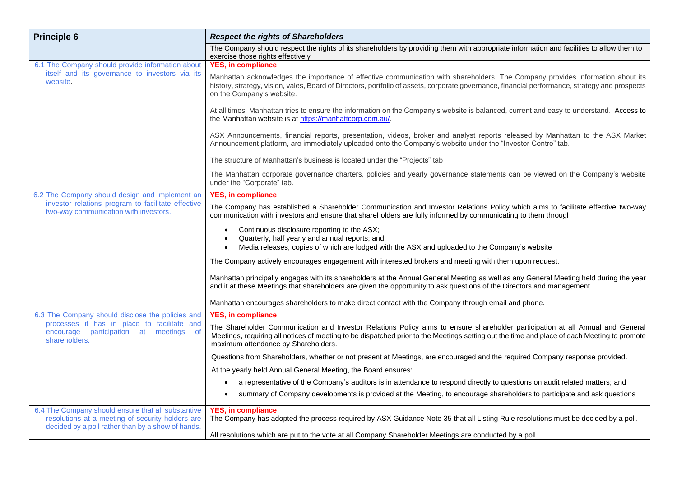| <b>Principle 6</b>                                                                                                                                          | <b>Respect the rights of Shareholders</b>                                                                                                                                                                                                                                                                            |
|-------------------------------------------------------------------------------------------------------------------------------------------------------------|----------------------------------------------------------------------------------------------------------------------------------------------------------------------------------------------------------------------------------------------------------------------------------------------------------------------|
|                                                                                                                                                             | The Company should respect the rights of its shareholders by providing them with appropriate information and facilities to allow them to<br>exercise those rights effectively                                                                                                                                        |
| 6.1 The Company should provide information about                                                                                                            | <b>YES, in compliance</b>                                                                                                                                                                                                                                                                                            |
| itself and its governance to investors via its<br>website.                                                                                                  | Manhattan acknowledges the importance of effective communication with shareholders. The Company provides information about its<br>history, strategy, vision, vales, Board of Directors, portfolio of assets, corporate governance, financial performance, strategy and prospects<br>on the Company's website.        |
|                                                                                                                                                             | At all times, Manhattan tries to ensure the information on the Company's website is balanced, current and easy to understand. Access to<br>the Manhattan website is at https://manhattcorp.com.au/.                                                                                                                  |
|                                                                                                                                                             | ASX Announcements, financial reports, presentation, videos, broker and analyst reports released by Manhattan to the ASX Market<br>Announcement platform, are immediately uploaded onto the Company's website under the "Investor Centre" tab.                                                                        |
|                                                                                                                                                             | The structure of Manhattan's business is located under the "Projects" tab                                                                                                                                                                                                                                            |
|                                                                                                                                                             | The Manhattan corporate governance charters, policies and yearly governance statements can be viewed on the Company's website<br>under the "Corporate" tab.                                                                                                                                                          |
| 6.2 The Company should design and implement an                                                                                                              | <b>YES, in compliance</b>                                                                                                                                                                                                                                                                                            |
| investor relations program to facilitate effective<br>two-way communication with investors.                                                                 | The Company has established a Shareholder Communication and Investor Relations Policy which aims to facilitate effective two-way<br>communication with investors and ensure that shareholders are fully informed by communicating to them through                                                                    |
|                                                                                                                                                             | Continuous disclosure reporting to the ASX;<br>Quarterly, half yearly and annual reports; and<br>Media releases, copies of which are lodged with the ASX and uploaded to the Company's website                                                                                                                       |
|                                                                                                                                                             | The Company actively encourages engagement with interested brokers and meeting with them upon request.                                                                                                                                                                                                               |
|                                                                                                                                                             | Manhattan principally engages with its shareholders at the Annual General Meeting as well as any General Meeting held during the year<br>and it at these Meetings that shareholders are given the opportunity to ask questions of the Directors and management.                                                      |
|                                                                                                                                                             | Manhattan encourages shareholders to make direct contact with the Company through email and phone.                                                                                                                                                                                                                   |
| 6.3 The Company should disclose the policies and                                                                                                            | <b>YES, in compliance</b>                                                                                                                                                                                                                                                                                            |
| processes it has in place to facilitate and<br>participation at meetings<br>of<br>encourage<br>shareholders.                                                | The Shareholder Communication and Investor Relations Policy aims to ensure shareholder participation at all Annual and General<br>Meetings, requiring all notices of meeting to be dispatched prior to the Meetings setting out the time and place of each Meeting to promote<br>maximum attendance by Shareholders. |
|                                                                                                                                                             | Questions from Shareholders, whether or not present at Meetings, are encouraged and the required Company response provided.                                                                                                                                                                                          |
|                                                                                                                                                             | At the yearly held Annual General Meeting, the Board ensures:                                                                                                                                                                                                                                                        |
|                                                                                                                                                             | a representative of the Company's auditors is in attendance to respond directly to questions on audit related matters; and                                                                                                                                                                                           |
|                                                                                                                                                             | summary of Company developments is provided at the Meeting, to encourage shareholders to participate and ask questions                                                                                                                                                                                               |
| 6.4 The Company should ensure that all substantive<br>resolutions at a meeting of security holders are<br>decided by a poll rather than by a show of hands. | <b>YES, in compliance</b><br>The Company has adopted the process required by ASX Guidance Note 35 that all Listing Rule resolutions must be decided by a poll.                                                                                                                                                       |
|                                                                                                                                                             | All resolutions which are put to the vote at all Company Shareholder Meetings are conducted by a poll.                                                                                                                                                                                                               |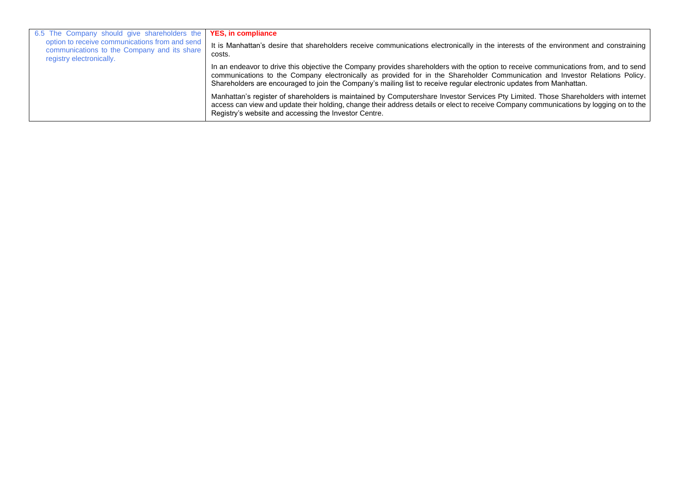| 6.5 The Company should give shareholders the <b>YES, in compliance</b>                                                    |                                                                                                                                                                                                                                                                                                                                                                                              |
|---------------------------------------------------------------------------------------------------------------------------|----------------------------------------------------------------------------------------------------------------------------------------------------------------------------------------------------------------------------------------------------------------------------------------------------------------------------------------------------------------------------------------------|
| option to receive communications from and send<br>communications to the Company and its share<br>registry electronically. | It is Manhattan's desire that shareholders receive communications electronically in the interests of the environment and constraining<br>costs.                                                                                                                                                                                                                                              |
|                                                                                                                           | In an endeavor to drive this objective the Company provides shareholders with the option to receive communications from, and to send<br>communications to the Company electronically as provided for in the Shareholder Communication and Investor Relations Policy.<br>Shareholders are encouraged to join the Company's mailing list to receive regular electronic updates from Manhattan. |
|                                                                                                                           | Manhattan's register of shareholders is maintained by Computershare Investor Services Pty Limited. Those Shareholders with internet<br>access can view and update their holding, change their address details or elect to receive Company communications by logging on to the<br>Registry's website and accessing the Investor Centre.                                                       |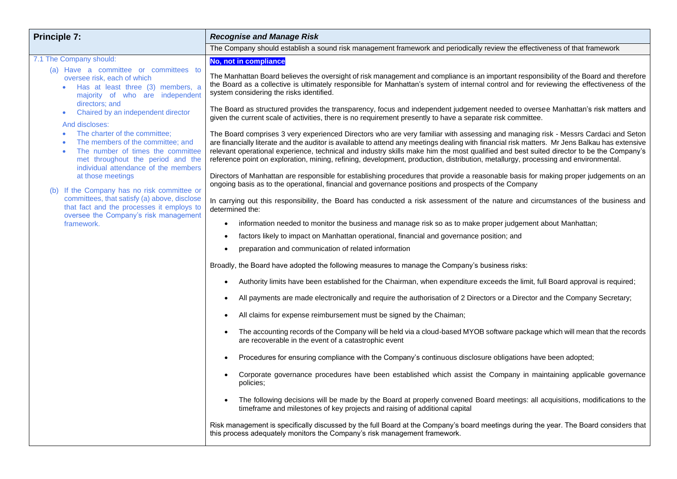| <b>Principle 7:</b>                                                                                                                                                                                                                                                                                                                                                                                                                       | <b>Recognise and Manage Risk</b>                                                                                                                                                                                                                                                                                                                                                                                                                                                                                                                                                                                                                                                                                                                                                                                                                                                                                                                                                                                                                                                                                                                                                                                                                                                                                                                                                                                                                                                                                                                                                                                                                                                                                                                                                                                                                                                                                                                                                                                                                                                                        |
|-------------------------------------------------------------------------------------------------------------------------------------------------------------------------------------------------------------------------------------------------------------------------------------------------------------------------------------------------------------------------------------------------------------------------------------------|---------------------------------------------------------------------------------------------------------------------------------------------------------------------------------------------------------------------------------------------------------------------------------------------------------------------------------------------------------------------------------------------------------------------------------------------------------------------------------------------------------------------------------------------------------------------------------------------------------------------------------------------------------------------------------------------------------------------------------------------------------------------------------------------------------------------------------------------------------------------------------------------------------------------------------------------------------------------------------------------------------------------------------------------------------------------------------------------------------------------------------------------------------------------------------------------------------------------------------------------------------------------------------------------------------------------------------------------------------------------------------------------------------------------------------------------------------------------------------------------------------------------------------------------------------------------------------------------------------------------------------------------------------------------------------------------------------------------------------------------------------------------------------------------------------------------------------------------------------------------------------------------------------------------------------------------------------------------------------------------------------------------------------------------------------------------------------------------------------|
|                                                                                                                                                                                                                                                                                                                                                                                                                                           | The Company should establish a sound risk management framework and periodically review the effectiveness of that framework                                                                                                                                                                                                                                                                                                                                                                                                                                                                                                                                                                                                                                                                                                                                                                                                                                                                                                                                                                                                                                                                                                                                                                                                                                                                                                                                                                                                                                                                                                                                                                                                                                                                                                                                                                                                                                                                                                                                                                              |
| 7.1 The Company should:<br>(a) Have a committee or committees to<br>oversee risk, each of which<br>Has at least three (3) members, a<br>majority of who are independent<br>directors: and<br>Chaired by an independent director<br>And discloses:<br>The charter of the committee;<br>The members of the committee; and<br>The number of times the committee<br>met throughout the period and the<br>individual attendance of the members | No, not in compliance<br>The Manhattan Board believes the oversight of risk management and compliance is an important responsibility of the Board and therefore<br>the Board as a collective is ultimately responsible for Manhattan's system of internal control and for reviewing the effectiveness of the<br>system considering the risks identified.<br>The Board as structured provides the transparency, focus and independent judgement needed to oversee Manhattan's risk matters and<br>given the current scale of activities, there is no requirement presently to have a separate risk committee.<br>The Board comprises 3 very experienced Directors who are very familiar with assessing and managing risk - Messrs Cardaci and Seton<br>are financially literate and the auditor is available to attend any meetings dealing with financial risk matters. Mr Jens Balkau has extensive<br>relevant operational experience, technical and industry skills make him the most qualified and best suited director to be the Company's<br>reference point on exploration, mining, refining, development, production, distribution, metallurgy, processing and environmental.                                                                                                                                                                                                                                                                                                                                                                                                                                                                                                                                                                                                                                                                                                                                                                                                                                                                                                                   |
| at those meetings<br>(b) If the Company has no risk committee or<br>committees, that satisfy (a) above, disclose<br>that fact and the processes it employs to<br>oversee the Company's risk management<br>framework.                                                                                                                                                                                                                      | Directors of Manhattan are responsible for establishing procedures that provide a reasonable basis for making proper judgements on an<br>ongoing basis as to the operational, financial and governance positions and prospects of the Company<br>In carrying out this responsibility, the Board has conducted a risk assessment of the nature and circumstances of the business and<br>determined the:<br>information needed to monitor the business and manage risk so as to make proper judgement about Manhattan;<br>$\bullet$<br>factors likely to impact on Manhattan operational, financial and governance position; and<br>$\bullet$<br>preparation and communication of related information<br>$\bullet$<br>Broadly, the Board have adopted the following measures to manage the Company's business risks:<br>Authority limits have been established for the Chairman, when expenditure exceeds the limit, full Board approval is required;<br>$\bullet$<br>All payments are made electronically and require the authorisation of 2 Directors or a Director and the Company Secretary;<br>$\bullet$<br>All claims for expense reimbursement must be signed by the Chaiman;<br>The accounting records of the Company will be held via a cloud-based MYOB software package which will mean that the records<br>$\bullet$<br>are recoverable in the event of a catastrophic event<br>Procedures for ensuring compliance with the Company's continuous disclosure obligations have been adopted;<br>$\bullet$<br>Corporate governance procedures have been established which assist the Company in maintaining applicable governance<br>policies;<br>The following decisions will be made by the Board at properly convened Board meetings: all acquisitions, modifications to the<br>$\bullet$<br>timeframe and milestones of key projects and raising of additional capital<br>Risk management is specifically discussed by the full Board at the Company's board meetings during the year. The Board considers that<br>this process adequately monitors the Company's risk management framework. |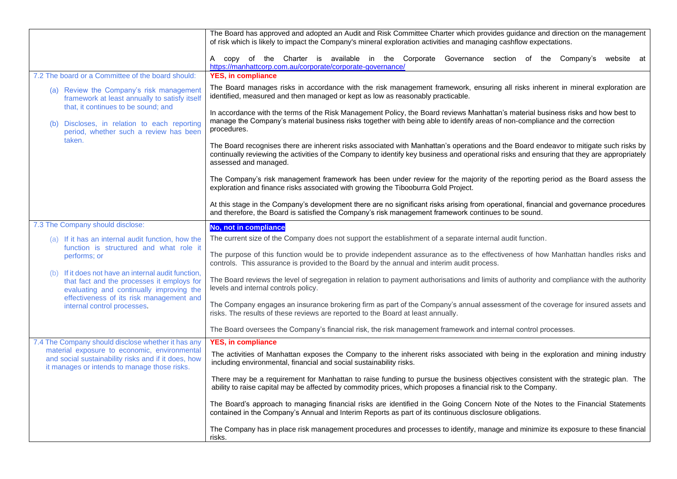|                                                                                                                                                     | The Board has approved and adopted an Audit and Risk Committee Charter which provides guidance and direction on the management<br>of risk which is likely to impact the Company's mineral exploration activities and managing cashflow expectations.                                                          |
|-----------------------------------------------------------------------------------------------------------------------------------------------------|---------------------------------------------------------------------------------------------------------------------------------------------------------------------------------------------------------------------------------------------------------------------------------------------------------------|
|                                                                                                                                                     | A copy of the Charter is available in the Corporate Governance section of the Company's website at<br>https://manhattcorp.com.au/corporate/corporate-governance/                                                                                                                                              |
| 7.2 The board or a Committee of the board should:                                                                                                   | <b>YES, in compliance</b>                                                                                                                                                                                                                                                                                     |
| (a) Review the Company's risk management<br>framework at least annually to satisfy itself<br>that, it continues to be sound; and                    | The Board manages risks in accordance with the risk management framework, ensuring all risks inherent in mineral exploration are<br>identified, measured and then managed or kept as low as reasonably practicable.                                                                                           |
| Discloses, in relation to each reporting                                                                                                            | In accordance with the terms of the Risk Management Policy, the Board reviews Manhattan's material business risks and how best to<br>manage the Company's material business risks together with being able to identify areas of non-compliance and the correction<br>procedures.                              |
| period, whether such a review has been<br>taken.                                                                                                    |                                                                                                                                                                                                                                                                                                               |
|                                                                                                                                                     | The Board recognises there are inherent risks associated with Manhattan's operations and the Board endeavor to mitigate such risks by<br>continually reviewing the activities of the Company to identify key business and operational risks and ensuring that they are appropriately<br>assessed and managed. |
|                                                                                                                                                     | The Company's risk management framework has been under review for the majority of the reporting period as the Board assess the<br>exploration and finance risks associated with growing the Tibooburra Gold Project.                                                                                          |
|                                                                                                                                                     | At this stage in the Company's development there are no significant risks arising from operational, financial and governance procedures<br>and therefore, the Board is satisfied the Company's risk management framework continues to be sound.                                                               |
| 7.3 The Company should disclose:                                                                                                                    | No, not in compliance                                                                                                                                                                                                                                                                                         |
| (a) If it has an internal audit function, how the<br>function is structured and what role it                                                        | The current size of the Company does not support the establishment of a separate internal audit function.                                                                                                                                                                                                     |
| performs; or                                                                                                                                        | The purpose of this function would be to provide independent assurance as to the effectiveness of how Manhattan handles risks and<br>controls. This assurance is provided to the Board by the annual and interim audit process.                                                                               |
| (b) If it does not have an internal audit function,<br>that fact and the processes it employs for<br>evaluating and continually improving the       | The Board reviews the level of segregation in relation to payment authorisations and limits of authority and compliance with the authority<br>levels and internal controls policy.                                                                                                                            |
| effectiveness of its risk management and<br>internal control processes.                                                                             | The Company engages an insurance brokering firm as part of the Company's annual assessment of the coverage for insured assets and<br>risks. The results of these reviews are reported to the Board at least annually.                                                                                         |
|                                                                                                                                                     | The Board oversees the Company's financial risk, the risk management framework and internal control processes.                                                                                                                                                                                                |
| 7.4 The Company should disclose whether it has any                                                                                                  | <b>YES, in compliance</b>                                                                                                                                                                                                                                                                                     |
| material exposure to economic, environmental<br>and social sustainability risks and if it does, how<br>it manages or intends to manage those risks. | The activities of Manhattan exposes the Company to the inherent risks associated with being in the exploration and mining industry<br>including environmental, financial and social sustainability risks.                                                                                                     |
|                                                                                                                                                     | There may be a requirement for Manhattan to raise funding to pursue the business objectives consistent with the strategic plan. The<br>ability to raise capital may be affected by commodity prices, which proposes a financial risk to the Company.                                                          |
|                                                                                                                                                     | The Board's approach to managing financial risks are identified in the Going Concern Note of the Notes to the Financial Statements<br>contained in the Company's Annual and Interim Reports as part of its continuous disclosure obligations.                                                                 |
|                                                                                                                                                     | The Company has in place risk management procedures and processes to identify, manage and minimize its exposure to these financial<br>risks.                                                                                                                                                                  |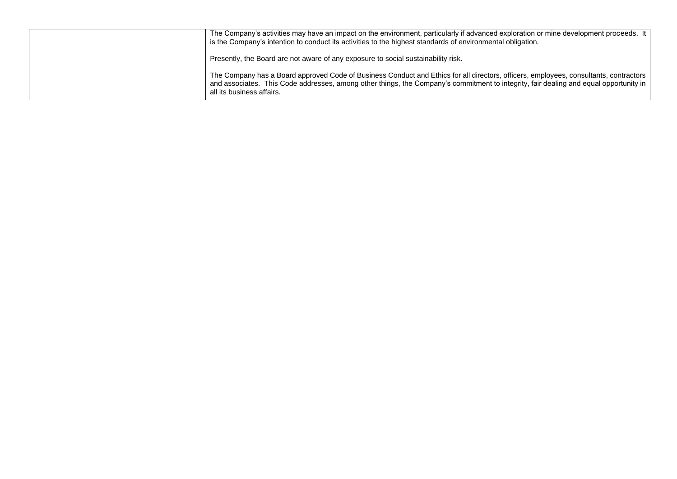| The Company's activities may have an impact on the environment, particularly if advanced exploration or mine development proceeds. It<br>is the Company's intention to conduct its activities to the highest standards of environmental obligation.                                                           |
|---------------------------------------------------------------------------------------------------------------------------------------------------------------------------------------------------------------------------------------------------------------------------------------------------------------|
| Presently, the Board are not aware of any exposure to social sustainability risk.                                                                                                                                                                                                                             |
| The Company has a Board approved Code of Business Conduct and Ethics for all directors, officers, employees, consultants, contractors  <br>and associates. This Code addresses, among other things, the Company's commitment to integrity, fair dealing and equal opportunity in<br>all its business affairs. |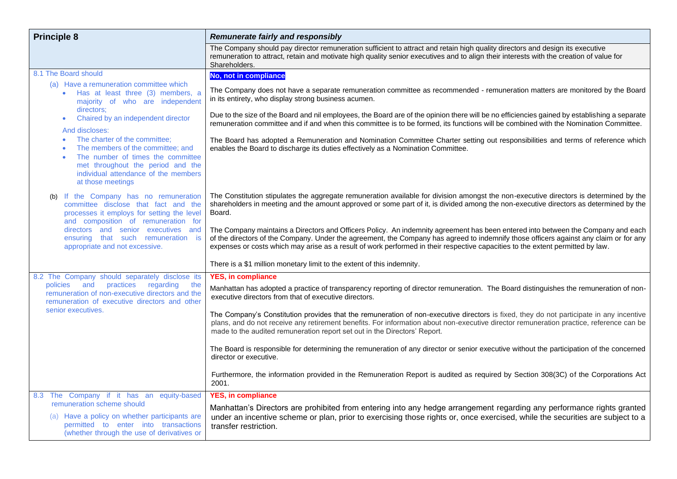| <b>Principle 8</b>                                                                                                                                                                                        | <b>Remunerate fairly and responsibly</b>                                                                                                                                                                                                                                                                                                                                                                    |
|-----------------------------------------------------------------------------------------------------------------------------------------------------------------------------------------------------------|-------------------------------------------------------------------------------------------------------------------------------------------------------------------------------------------------------------------------------------------------------------------------------------------------------------------------------------------------------------------------------------------------------------|
|                                                                                                                                                                                                           | The Company should pay director remuneration sufficient to attract and retain high quality directors and design its executive<br>remuneration to attract, retain and motivate high quality senior executives and to align their interests with the creation of value for<br>Shareholders.                                                                                                                   |
| 8.1 The Board should                                                                                                                                                                                      | No, not in compliance                                                                                                                                                                                                                                                                                                                                                                                       |
| (a) Have a remuneration committee which<br>Has at least three (3) members, a<br>majority of who are independent<br>directors;                                                                             | The Company does not have a separate remuneration committee as recommended - remuneration matters are monitored by the Board<br>in its entirety, who display strong business acumen.                                                                                                                                                                                                                        |
| Chaired by an independent director<br>And discloses:                                                                                                                                                      | Due to the size of the Board and nil employees, the Board are of the opinion there will be no efficiencies gained by establishing a separate<br>remuneration committee and if and when this committee is to be formed, its functions will be combined with the Nomination Committee.                                                                                                                        |
| The charter of the committee;<br>The members of the committee; and<br>The number of times the committee<br>met throughout the period and the<br>individual attendance of the members<br>at those meetings | The Board has adopted a Remuneration and Nomination Committee Charter setting out responsibilities and terms of reference which<br>enables the Board to discharge its duties effectively as a Nomination Committee.                                                                                                                                                                                         |
| (b) If the Company has no remuneration<br>committee disclose that fact and the<br>processes it employs for setting the level<br>and composition of remuneration for                                       | The Constitution stipulates the aggregate remuneration available for division amongst the non-executive directors is determined by the<br>shareholders in meeting and the amount approved or some part of it, is divided among the non-executive directors as determined by the<br>Board.                                                                                                                   |
| directors and senior executives and<br>ensuring that such remuneration is<br>appropriate and not excessive.                                                                                               | The Company maintains a Directors and Officers Policy. An indemnity agreement has been entered into between the Company and each<br>of the directors of the Company. Under the agreement, the Company has agreed to indemnify those officers against any claim or for any<br>expenses or costs which may arise as a result of work performed in their respective capacities to the extent permitted by law. |
|                                                                                                                                                                                                           | There is a \$1 million monetary limit to the extent of this indemnity.                                                                                                                                                                                                                                                                                                                                      |
| 8.2 The Company should separately disclose its                                                                                                                                                            | <b>YES, in compliance</b>                                                                                                                                                                                                                                                                                                                                                                                   |
| practices<br>policies<br>and<br>regarding<br>the<br>remuneration of non-executive directors and the<br>remuneration of executive directors and other                                                      | Manhattan has adopted a practice of transparency reporting of director remuneration. The Board distinguishes the remuneration of non-<br>executive directors from that of executive directors.                                                                                                                                                                                                              |
| senior executives.                                                                                                                                                                                        | The Company's Constitution provides that the remuneration of non-executive directors is fixed, they do not participate in any incentive<br>plans, and do not receive any retirement benefits. For information about non-executive director remuneration practice, reference can be<br>made to the audited remuneration report set out in the Directors' Report.                                             |
|                                                                                                                                                                                                           | The Board is responsible for determining the remuneration of any director or senior executive without the participation of the concerned<br>director or executive.                                                                                                                                                                                                                                          |
|                                                                                                                                                                                                           | Furthermore, the information provided in the Remuneration Report is audited as required by Section 308(3C) of the Corporations Act<br>2001.                                                                                                                                                                                                                                                                 |
| 8.3 The Company if it has an equity-based<br>remuneration scheme should                                                                                                                                   | <b>YES, in compliance</b>                                                                                                                                                                                                                                                                                                                                                                                   |
| (a) Have a policy on whether participants are<br>permitted to enter into transactions<br>(whether through the use of derivatives or                                                                       | Manhattan's Directors are prohibited from entering into any hedge arrangement regarding any performance rights granted<br>under an incentive scheme or plan, prior to exercising those rights or, once exercised, while the securities are subject to a<br>transfer restriction.                                                                                                                            |